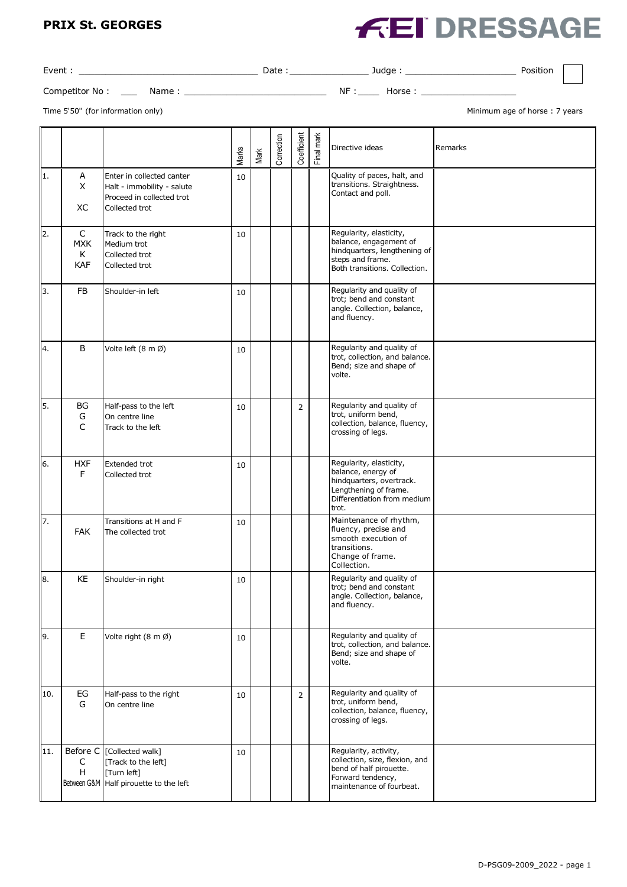#### **PRIX St. GEORGES**

# **FEI DRESSAGE**

| Event          |      | Date | Judae | Position |
|----------------|------|------|-------|----------|
| Competitor No: | Name | ΝF   | lorse |          |

Time 5'50" (for information only) and the state of the state of the state of thorse the state of thorse of horse the  $\alpha$  years

|     |                                        |                                                                                                        | Marks | Mark | Correction | Coefficient    | Final mark | Directive ideas                                                                                                                            | Remarks |
|-----|----------------------------------------|--------------------------------------------------------------------------------------------------------|-------|------|------------|----------------|------------|--------------------------------------------------------------------------------------------------------------------------------------------|---------|
| 1.  | Α<br>X<br>XC                           | Enter in collected canter<br>Halt - immobility - salute<br>Proceed in collected trot<br>Collected trot | 10    |      |            |                |            | Quality of paces, halt, and<br>transitions. Straightness.<br>Contact and poll.                                                             |         |
| 2.  | $\mathsf{C}$<br><b>MXK</b><br>Κ<br>KAF | Track to the right<br>Medium trot<br>Collected trot<br>Collected trot                                  | 10    |      |            |                |            | Regularity, elasticity,<br>balance, engagement of<br>hindquarters, lengthening of<br>steps and frame.<br>Both transitions. Collection.     |         |
| 3.  | FB                                     | Shoulder-in left                                                                                       | 10    |      |            |                |            | Regularity and quality of<br>trot; bend and constant<br>angle. Collection, balance,<br>and fluency.                                        |         |
| 4.  | В                                      | Volte left (8 m Ø)                                                                                     | 10    |      |            |                |            | Regularity and quality of<br>trot, collection, and balance.<br>Bend; size and shape of<br>volte.                                           |         |
| 5.  | BG<br>G<br>$\mathsf{C}$                | Half-pass to the left<br>On centre line<br>Track to the left                                           | 10    |      |            | $\overline{2}$ |            | Regularity and quality of<br>trot, uniform bend,<br>collection, balance, fluency,<br>crossing of legs.                                     |         |
| 6.  | <b>HXF</b><br>F                        | Extended trot<br>Collected trot                                                                        | 10    |      |            |                |            | Regularity, elasticity,<br>balance, energy of<br>hindquarters, overtrack.<br>Lengthening of frame.<br>Differentiation from medium<br>trot. |         |
| 7.  | <b>FAK</b>                             | Transitions at H and F<br>The collected trot                                                           | 10    |      |            |                |            | Maintenance of rhythm,<br>fluency, precise and<br>smooth execution of<br>transitions.<br>Change of frame.<br>Collection.                   |         |
| 8.  | KE                                     | Shoulder-in right                                                                                      | 10    |      |            |                |            | Regularity and quality of<br>trot; bend and constant<br>angle. Collection, balance,<br>and fluency.                                        |         |
| 9.  | E                                      | Volte right (8 m Ø)                                                                                    | 10    |      |            |                |            | Regularity and quality of<br>trot, collection, and balance.<br>Bend; size and shape of<br>volte.                                           |         |
| 10. | EG<br>G                                | Half-pass to the right<br>On centre line                                                               | 10    |      |            | $\overline{2}$ |            | Regularity and quality of<br>trot, uniform bend,<br>collection, balance, fluency,<br>crossing of legs.                                     |         |
| 11. | Before C<br>C<br>H                     | [Collected walk]<br>[Track to the left]<br>[Turn left]<br>Between G&M Half pirouette to the left       | 10    |      |            |                |            | Regularity, activity,<br>collection, size, flexion, and<br>bend of half pirouette.<br>Forward tendency,<br>maintenance of fourbeat.        |         |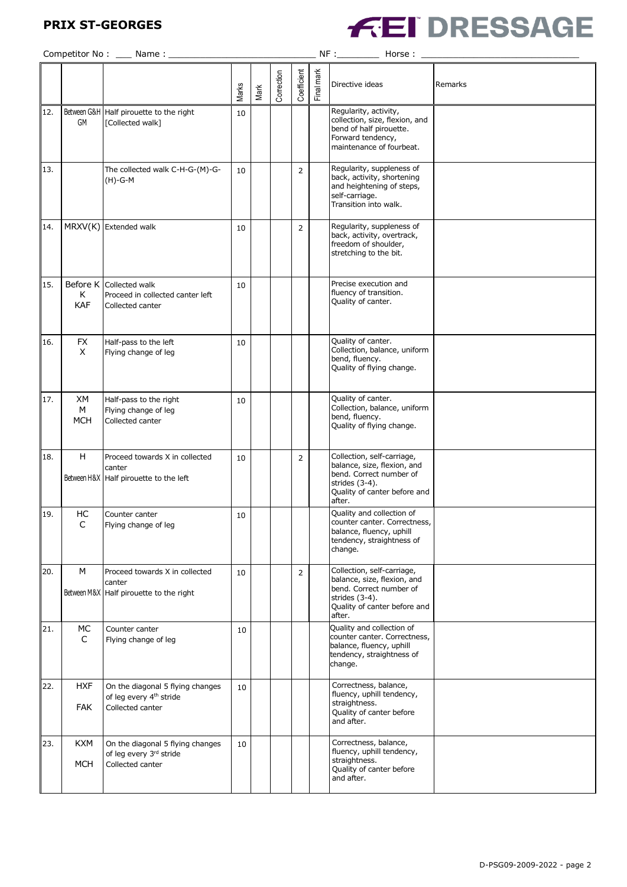## **PRIX ST-GEORGES**



|     |                          |                                                                                             | Marks | Mark | Correction | Coefficient    | Final mark | Directive ideas                                                                                                                                     | Remarks |
|-----|--------------------------|---------------------------------------------------------------------------------------------|-------|------|------------|----------------|------------|-----------------------------------------------------------------------------------------------------------------------------------------------------|---------|
| 12. | GM                       | Between G&H Half pirouette to the right<br>[Collected walk]                                 | 10    |      |            |                |            | Regularity, activity,<br>collection, size, flexion, and<br>bend of half pirouette.<br>Forward tendency,<br>maintenance of fourbeat.                 |         |
| 13. |                          | The collected walk C-H-G-(M)-G-<br>(H)-G-M                                                  | 10    |      |            | $\overline{2}$ |            | Regularity, suppleness of<br>back, activity, shortening<br>and heightening of steps,<br>self-carriage.<br>Transition into walk.                     |         |
| 14. |                          | MRXV(K) Extended walk                                                                       | 10    |      |            | $\overline{2}$ |            | Regularity, suppleness of<br>back, activity, overtrack,<br>freedom of shoulder,<br>stretching to the bit.                                           |         |
| 15. | Before K<br>Κ<br>KAF     | Collected walk<br>Proceed in collected canter left<br>Collected canter                      | 10    |      |            |                |            | Precise execution and<br>fluency of transition.<br>Quality of canter.                                                                               |         |
| 16. | <b>FX</b><br>X           | Half-pass to the left<br>Flying change of leg                                               | 10    |      |            |                |            | Quality of canter.<br>Collection, balance, uniform<br>bend, fluency.<br>Quality of flying change.                                                   |         |
| 17. | XM<br>м<br><b>MCH</b>    | Half-pass to the right<br>Flying change of leg<br>Collected canter                          | 10    |      |            |                |            | Quality of canter.<br>Collection, balance, uniform<br>bend, fluency.<br>Quality of flying change.                                                   |         |
| 18. | H                        | Proceed towards X in collected<br>canter<br>Between H&X Half pirouette to the left          | 10    |      |            | $\overline{2}$ |            | Collection, self-carriage,<br>balance, size, flexion, and<br>bend. Correct number of<br>strides (3-4).<br>Quality of canter before and<br>after.    |         |
| 19. | HC<br>C                  | Counter canter<br>Flying change of leg                                                      | 10    |      |            |                |            | Quality and collection of<br>counter canter. Correctness,<br>balance, fluency, uphill<br>tendency, straightness of<br>change.                       |         |
| 20. | M                        | Proceed towards X in collected<br>canter<br>Between M&X Half pirouette to the right         | 10    |      |            | $\overline{2}$ |            | Collection, self-carriage,<br>balance, size, flexion, and<br>bend. Correct number of<br>strides $(3-4)$ .<br>Quality of canter before and<br>after. |         |
| 21. | МC<br>C                  | Counter canter<br>Flying change of leg                                                      | 10    |      |            |                |            | Quality and collection of<br>counter canter. Correctness,<br>balance, fluency, uphill<br>tendency, straightness of<br>change.                       |         |
| 22. | <b>HXF</b><br><b>FAK</b> | On the diagonal 5 flying changes<br>of leg every 4 <sup>th</sup> stride<br>Collected canter | 10    |      |            |                |            | Correctness, balance,<br>fluency, uphill tendency,<br>straightness.<br>Quality of canter before<br>and after.                                       |         |
| 23. | <b>KXM</b><br><b>MCH</b> | On the diagonal 5 flying changes<br>of leg every 3rd stride<br>Collected canter             | 10    |      |            |                |            | Correctness, balance,<br>fluency, uphill tendency,<br>straightness.<br>Quality of canter before<br>and after.                                       |         |